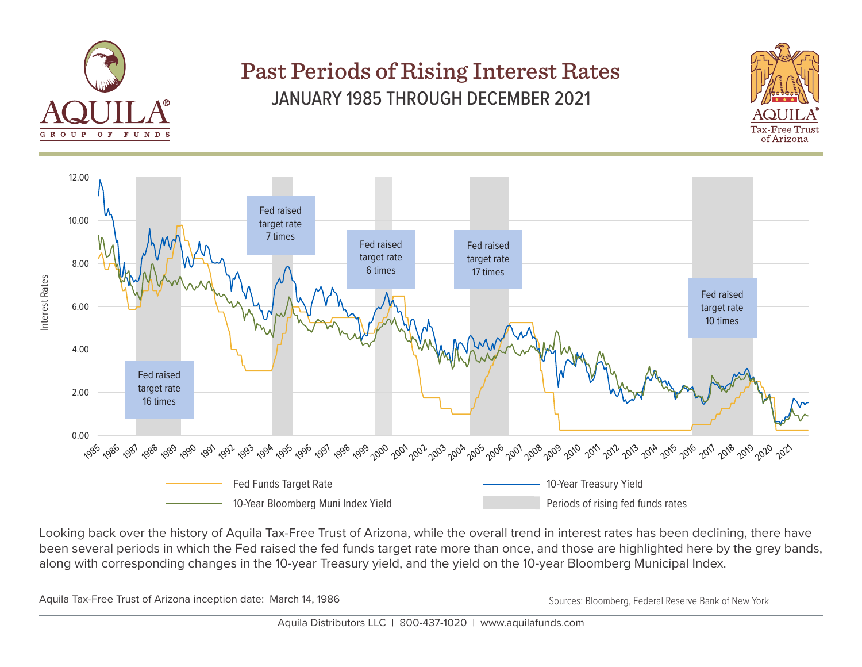

## Past Periods of Rising Interest Rates JANUARY 1985 THROUGH DECEMBER 2021





Looking back over the history of Aquila Tax-Free Trust of Arizona, while the overall trend in interest rates has been declining, there have been several periods in which the Fed raised the fed funds target rate more than once, and those are highlighted here by the grey bands, along with corresponding changes in the 10-year Treasury yield, and the yield on the 10-year Bloomberg Municipal Index.

Aquila Tax-Free Trust of Arizona inception date: March 14, 1986 March 19, 1986 March 19, 1988 March 2018 Sources: Bloomberg, Federal Reserve Bank of New York